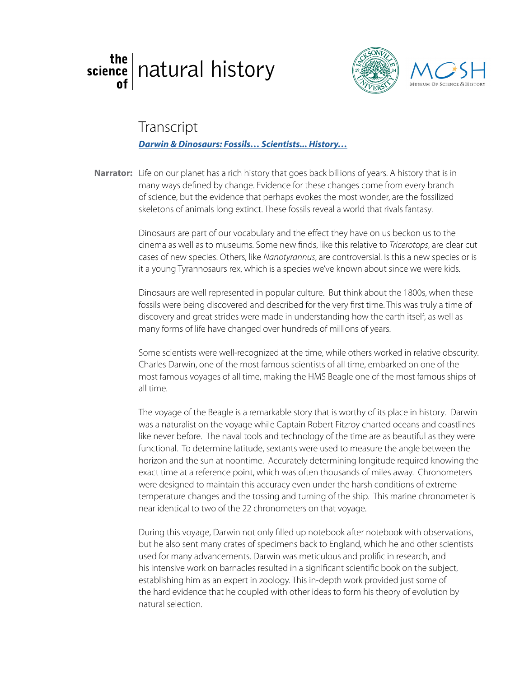## the | [natural history](http://welcome.ju.edu/thescienceof/)





## **Transcript**

## glass blowing *[Darwin & Dinosaurs: Fossils… Scientists... History…](https://www.youtube.com/watch?v=NousKNpe1MM&feature=youtu.be&list=PL3yUqqo9BJOFwZnyUjfIpPBqzF8ZWf5pK)*

Narrator: Life on our planet has a rich history that goes back billions of years. A history that is in many ways defined by change. Evidence for these changes come from every branch of science, but the evidence that perhaps evokes the most wonder, are the fossilized skeletons of animals long extinct. These fossils reveal a world that rivals fantasy.

> Dinosaurs are part of our vocabulary and the effect they have on us beckon us to the cinema as well as to museums. Some new finds, like this relative to *Tricerotops*, are clear cut cases of new species. Others, like *Nanotyrannus*, are controversial. Is this a new species or is it a young Tyrannosaurs rex, which is a species we've known about since we were kids.

Dinosaurs are well represented in popular culture. But think about the 1800s, when these fossils were being discovered and described for the very first time. This was truly a time of discovery and great strides were made in understanding how the earth itself, as well as many forms of life have changed over hundreds of millions of years.

Some scientists were well-recognized at the time, while others worked in relative obscurity. Charles Darwin, one of the most famous scientists of all time, embarked on one of the most famous voyages of all time, making the HMS Beagle one of the most famous ships of all time.

The voyage of the Beagle is a remarkable story that is worthy of its place in history. Darwin was a naturalist on the voyage while Captain Robert Fitzroy charted oceans and coastlines like never before. The naval tools and technology of the time are as beautiful as they were functional. To determine latitude, sextants were used to measure the angle between the horizon and the sun at noontime. Accurately determining longitude required knowing the exact time at a reference point, which was often thousands of miles away. Chronometers were designed to maintain this accuracy even under the harsh conditions of extreme temperature changes and the tossing and turning of the ship. This marine chronometer is near identical to two of the 22 chronometers on that voyage.

During this voyage, Darwin not only filled up notebook after notebook with observations, but he also sent many crates of specimens back to England, which he and other scientists used for many advancements. Darwin was meticulous and prolific in research, and his intensive work on barnacles resulted in a significant scientific book on the subject, establishing him as an expert in zoology. This in-depth work provided just some of the hard evidence that he coupled with other ideas to form his theory of evolution by natural selection.